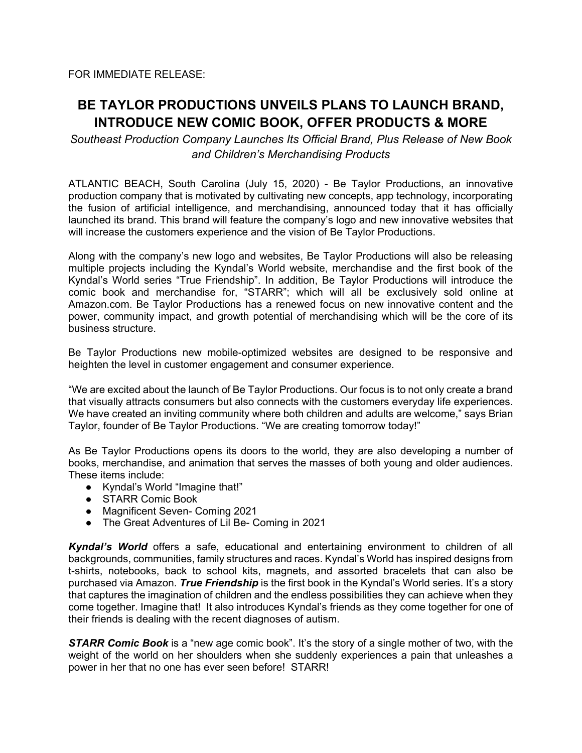FOR IMMEDIATE RELEASE:

## **BE TAYLOR PRODUCTIONS UNVEILS PLANS TO LAUNCH BRAND, INTRODUCE NEW COMIC BOOK, OFFER PRODUCTS & MORE**

*Southeast Production Company Launches Its Official Brand, Plus Release of New Book and Children's Merchandising Products*

ATLANTIC BEACH, South Carolina (July 15, 2020) - Be Taylor Productions, an innovative production company that is motivated by cultivating new concepts, app technology, incorporating the fusion of artificial intelligence, and merchandising, announced today that it has officially launched its brand. This brand will feature the company's logo and new innovative websites that will increase the customers experience and the vision of Be Taylor Productions.

Along with the company's new logo and websites, Be Taylor Productions will also be releasing multiple projects including the Kyndal's World website, merchandise and the first book of the Kyndal's World series "True Friendship". In addition, Be Taylor Productions will introduce the comic book and merchandise for, "STARR"; which will all be exclusively sold online at Amazon.com. Be Taylor Productions has a renewed focus on new innovative content and the power, community impact, and growth potential of merchandising which will be the core of its business structure.

Be Taylor Productions new mobile-optimized websites are designed to be responsive and heighten the level in customer engagement and consumer experience.

"We are excited about the launch of Be Taylor Productions. Our focus is to not only create a brand that visually attracts consumers but also connects with the customers everyday life experiences. We have created an inviting community where both children and adults are welcome," says Brian Taylor, founder of Be Taylor Productions. "We are creating tomorrow today!"

As Be Taylor Productions opens its doors to the world, they are also developing a number of books, merchandise, and animation that serves the masses of both young and older audiences. These items include:

- Kyndal's World "Imagine that!"
- STARR Comic Book
- Magnificent Seven- Coming 2021
- The Great Adventures of Lil Be- Coming in 2021

*Kyndal's World* offers a safe, educational and entertaining environment to children of all backgrounds, communities, family structures and races. Kyndal's World has inspired designs from t-shirts, notebooks, back to school kits, magnets, and assorted bracelets that can also be purchased via Amazon. *True Friendship* is the first book in the Kyndal's World series. It's a story that captures the imagination of children and the endless possibilities they can achieve when they come together. Imagine that! It also introduces Kyndal's friends as they come together for one of their friends is dealing with the recent diagnoses of autism.

**STARR Comic Book** is a "new age comic book". It's the story of a single mother of two, with the weight of the world on her shoulders when she suddenly experiences a pain that unleashes a power in her that no one has ever seen before! STARR!